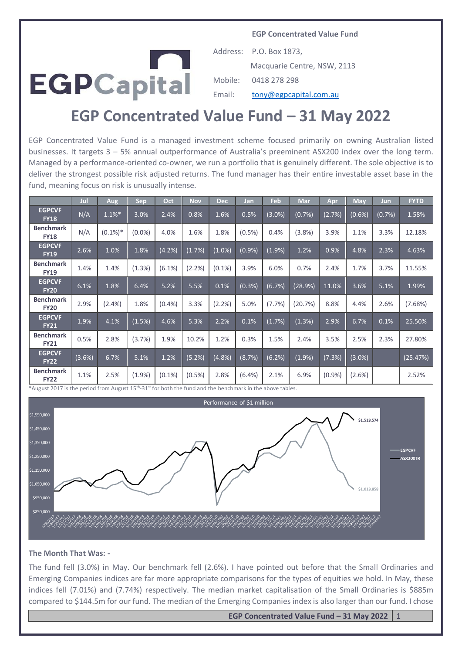**EGP Concentrated Value Fund**



Address: P.O. Box 1873, Macquarie Centre, NSW, 2113 Mobile: 0418 278 298 Email: [tony@egpcapital.com.au](mailto:tony@egpcapital.com.au)

# **EGP Concentrated Value Fund – 31 May 2022**

EGP Concentrated Value Fund is a managed investment scheme focused primarily on owning Australian listed businesses. It targets 3 – 5% annual outperformance of Australia's preeminent ASX200 index over the long term. Managed by a performance-oriented co-owner, we run a portfolio that is genuinely different. The sole objective is to deliver the strongest possible risk adjusted returns. The fund manager has their entire investable asset base in the fund, meaning focus on risk is unusually intense.

|                                 | Jul    | Aug        | <b>Sep</b> | Oct       | <b>Nov</b> | <b>Dec</b> | Jan       | Feb       | <b>Mar</b> | Apr    | May       | Jun    | <b>FYTD</b> |
|---------------------------------|--------|------------|------------|-----------|------------|------------|-----------|-----------|------------|--------|-----------|--------|-------------|
| <b>EGPCVF</b><br><b>FY18</b>    | N/A    | 1.1%       | 3.0%       | 2.4%      | 0.8%       | 1.6%       | 0.5%      | $(3.0\%)$ | (0.7%)     | (2.7%) | (0.6%)    | (0.7%) | 1.58%       |
| <b>Benchmark</b><br><b>FY18</b> | N/A    | $(0.1\%)*$ | $(0.0\%)$  | 4.0%      | 1.6%       | 1.8%       | $(0.5\%)$ | 0.4%      | (3.8%)     | 3.9%   | 1.1%      | 3.3%   | 12.18%      |
| <b>EGPCVF</b><br><b>FY19</b>    | 2.6%   | 1.0%       | 1.8%       | (4.2%)    | (1.7%)     | $(1.0\%)$  | (0.9%     | (1.9%)    | 1.2%       | 0.9%   | 4.8%      | 2.3%   | 4.63%       |
| <b>Benchmark</b><br><b>FY19</b> | 1.4%   | 1.4%       | (1.3%)     | $(6.1\%)$ | (2.2%)     | $(0.1\%)$  | 3.9%      | 6.0%      | 0.7%       | 2.4%   | 1.7%      | 3.7%   | 11.55%      |
| <b>EGPCVF</b><br><b>FY20</b>    | 6.1%   | 1.8%       | 6.4%       | 5.2%      | 5.5%       | 0.1%       | (0.3%)    | (6.7%)    | (28.9%)    | 11.0%  | 3.6%      | 5.1%   | 1.99%       |
| <b>Benchmark</b><br><b>FY20</b> | 2.9%   | $(2.4\%)$  | 1.8%       | (0.4%     | 3.3%       | $(2.2\%)$  | 5.0%      | (7.7%)    | (20.7%)    | 8.8%   | 4.4%      | 2.6%   | (7.68%)     |
| <b>EGPCVF</b><br><b>FY21</b>    | 1.9%   | 4.1%       | (1.5%)     | 4.6%      | 5.3%       | 2.2%       | 0.1%      | (1.7%)    | (1.3%)     | 2.9%   | 6.7%      | 0.1%   | 25.50%      |
| <b>Benchmark</b><br><b>FY21</b> | 0.5%   | 2.8%       | (3.7%)     | 1.9%      | 10.2%      | 1.2%       | 0.3%      | 1.5%      | 2.4%       | 3.5%   | 2.5%      | 2.3%   | 27.80%      |
| <b>EGPCVF</b><br><b>FY22</b>    | (3.6%) | 6.7%       | 5.1%       | 1.2%      | (5.2%)     | (4.8%      | (8.7%)    | (6.2%)    | (1.9%      | (7.3%) | $(3.0\%)$ |        | (25.47%)    |
| <b>Benchmark</b><br><b>FY22</b> | 1.1%   | 2.5%       | (1.9%      | $(0.1\%)$ | $(0.5\%)$  | 2.8%       | $(6.4\%)$ | 2.1%      | 6.9%       | (0.9%  | $(2.6\%)$ |        | 2.52%       |

\*August 2017 is the period from August 15th -31st for both the fund and the benchmark in the above tables.



#### **The Month That Was: -**

The fund fell (3.0%) in May. Our benchmark fell (2.6%). I have pointed out before that the Small Ordinaries and Emerging Companies indices are far more appropriate comparisons for the types of equities we hold. In May, these indices fell (7.01%) and (7.74%) respectively. The median market capitalisation of the Small Ordinaries is \$885m compared to \$144.5m for our fund. The median of the Emerging Companies index is also larger than our fund. I chose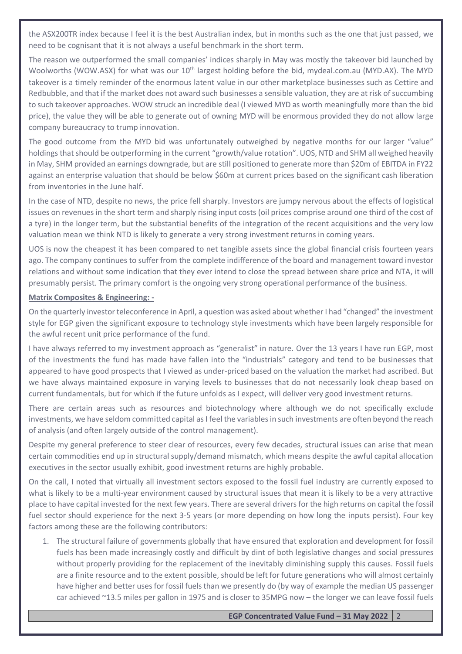the ASX200TR index because I feel it is the best Australian index, but in months such as the one that just passed, we need to be cognisant that it is not always a useful benchmark in the short term.

The reason we outperformed the small companies' indices sharply in May was mostly the takeover bid launched by Woolworths (WOW.ASX) for what was our 10<sup>th</sup> largest holding before the bid, mydeal.com.au (MYD.AX). The MYD takeover is a timely reminder of the enormous latent value in our other marketplace businesses such as Cettire and Redbubble, and that if the market does not award such businesses a sensible valuation, they are at risk of succumbing to such takeover approaches. WOW struck an incredible deal (I viewed MYD as worth meaningfully more than the bid price), the value they will be able to generate out of owning MYD will be enormous provided they do not allow large company bureaucracy to trump innovation.

The good outcome from the MYD bid was unfortunately outweighed by negative months for our larger "value" holdings that should be outperforming in the current "growth/value rotation". UOS, NTD and SHM all weighed heavily in May, SHM provided an earnings downgrade, but are still positioned to generate more than \$20m of EBITDA in FY22 against an enterprise valuation that should be below \$60m at current prices based on the significant cash liberation from inventories in the June half.

In the case of NTD, despite no news, the price fell sharply. Investors are jumpy nervous about the effects of logistical issues on revenues in the short term and sharply rising input costs (oil prices comprise around one third of the cost of a tyre) in the longer term, but the substantial benefits of the integration of the recent acquisitions and the very low valuation mean we think NTD is likely to generate a very strong investment returns in coming years.

UOS is now the cheapest it has been compared to net tangible assets since the global financial crisis fourteen years ago. The company continues to suffer from the complete indifference of the board and management toward investor relations and without some indication that they ever intend to close the spread between share price and NTA, it will presumably persist. The primary comfort is the ongoing very strong operational performance of the business.

# **Matrix Composites & Engineering: -**

On the quarterly investor teleconference in April, a question was asked about whether I had "changed" the investment style for EGP given the significant exposure to technology style investments which have been largely responsible for the awful recent unit price performance of the fund.

I have always referred to my investment approach as "generalist" in nature. Over the 13 years I have run EGP, most of the investments the fund has made have fallen into the "industrials" category and tend to be businesses that appeared to have good prospects that I viewed as under-priced based on the valuation the market had ascribed. But we have always maintained exposure in varying levels to businesses that do not necessarily look cheap based on current fundamentals, but for which if the future unfolds as I expect, will deliver very good investment returns.

There are certain areas such as resources and biotechnology where although we do not specifically exclude investments, we have seldom committed capital as I feel the variables in such investments are often beyond the reach of analysis (and often largely outside of the control management).

Despite my general preference to steer clear of resources, every few decades, structural issues can arise that mean certain commodities end up in structural supply/demand mismatch, which means despite the awful capital allocation executives in the sector usually exhibit, good investment returns are highly probable.

On the call, I noted that virtually all investment sectors exposed to the fossil fuel industry are currently exposed to what is likely to be a multi-year environment caused by structural issues that mean it is likely to be a very attractive place to have capital invested for the next few years. There are several drivers for the high returns on capital the fossil fuel sector should experience for the next 3-5 years (or more depending on how long the inputs persist). Four key factors among these are the following contributors:

1. The structural failure of governments globally that have ensured that exploration and development for fossil fuels has been made increasingly costly and difficult by dint of both legislative changes and social pressures without properly providing for the replacement of the inevitably diminishing supply this causes. Fossil fuels are a finite resource and to the extent possible, should be left for future generations who will almost certainly have higher and better uses for fossil fuels than we presently do (by way of example the median US passenger car achieved ~13.5 miles per gallon in 1975 and is closer to 35MPG now – the longer we can leave fossil fuels

# **EGP Concentrated Value Fund – 31 May 2022** 2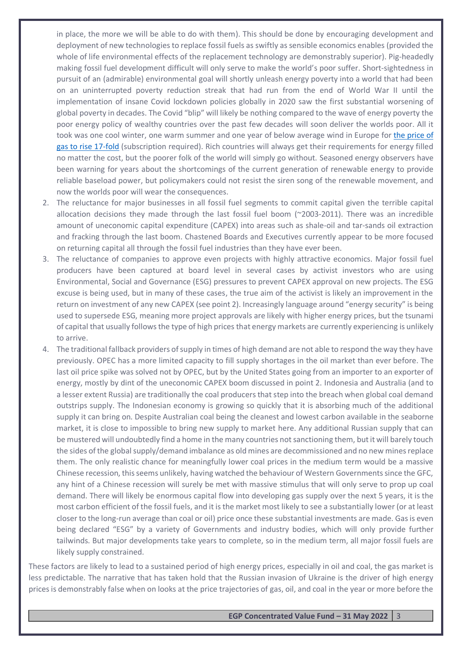in place, the more we will be able to do with them). This should be done by encouraging development and deployment of new technologies to replace fossil fuels as swiftly as sensible economics enables (provided the whole of life environmental effects of the replacement technology are demonstrably superior). Pig-headedly making fossil fuel development difficult will only serve to make the world's poor suffer. Short-sightedness in pursuit of an (admirable) environmental goal will shortly unleash energy poverty into a world that had been on an uninterrupted poverty reduction streak that had run from the end of World War II until the implementation of insane Covid lockdown policies globally in 2020 saw the first substantial worsening of global poverty in decades. The Covid "blip" will likely be nothing compared to the wave of energy poverty the poor energy policy of wealthy countries over the past few decades will soon deliver the worlds poor. All it took was one cool winter, one warm summer and one year of below average wind in Europe for [the price of](https://www.wsj.com/articles/energy-prices-in-europe-hit-records-after-wind-stops-blowing-11631528258?mod=realestate_trending_now_article_pos4)  [gas to rise 17-fold](https://www.wsj.com/articles/energy-prices-in-europe-hit-records-after-wind-stops-blowing-11631528258?mod=realestate_trending_now_article_pos4) (subscription required). Rich countries will always get their requirements for energy filled no matter the cost, but the poorer folk of the world will simply go without. Seasoned energy observers have been warning for years about the shortcomings of the current generation of renewable energy to provide reliable baseload power, but policymakers could not resist the siren song of the renewable movement, and now the worlds poor will wear the consequences.

- 2. The reluctance for major businesses in all fossil fuel segments to commit capital given the terrible capital allocation decisions they made through the last fossil fuel boom (~2003-2011). There was an incredible amount of uneconomic capital expenditure (CAPEX) into areas such as shale-oil and tar-sands oil extraction and fracking through the last boom. Chastened Boards and Executives currently appear to be more focused on returning capital all through the fossil fuel industries than they have ever been.
- 3. The reluctance of companies to approve even projects with highly attractive economics. Major fossil fuel producers have been captured at board level in several cases by activist investors who are using Environmental, Social and Governance (ESG) pressures to prevent CAPEX approval on new projects. The ESG excuse is being used, but in many of these cases, the true aim of the activist is likely an improvement in the return on investment of any new CAPEX (see point 2). Increasingly language around "energy security" is being used to supersede ESG, meaning more project approvals are likely with higher energy prices, but the tsunami of capital that usually follows the type of high prices that energy markets are currently experiencing is unlikely to arrive.
- 4. The traditional fallback providers of supply in times of high demand are not able to respond the way they have previously. OPEC has a more limited capacity to fill supply shortages in the oil market than ever before. The last oil price spike was solved not by OPEC, but by the United States going from an importer to an exporter of energy, mostly by dint of the uneconomic CAPEX boom discussed in point 2. Indonesia and Australia (and to a lesser extent Russia) are traditionally the coal producers that step into the breach when global coal demand outstrips supply. The Indonesian economy is growing so quickly that it is absorbing much of the additional supply it can bring on. Despite Australian coal being the cleanest and lowest carbon available in the seaborne market, it is close to impossible to bring new supply to market here. Any additional Russian supply that can be mustered will undoubtedly find a home in the many countries not sanctioning them, but it will barely touch the sides of the global supply/demand imbalance as old mines are decommissioned and no new mines replace them. The only realistic chance for meaningfully lower coal prices in the medium term would be a massive Chinese recession, this seems unlikely, having watched the behaviour of Western Governments since the GFC, any hint of a Chinese recession will surely be met with massive stimulus that will only serve to prop up coal demand. There will likely be enormous capital flow into developing gas supply over the next 5 years, it is the most carbon efficient of the fossil fuels, and it is the market most likely to see a substantially lower (or at least closer to the long-run average than coal or oil) price once these substantial investments are made. Gas is even being declared "ESG" by a variety of Governments and industry bodies, which will only provide further tailwinds. But major developments take years to complete, so in the medium term, all major fossil fuels are likely supply constrained.

These factors are likely to lead to a sustained period of high energy prices, especially in oil and coal, the gas market is less predictable. The narrative that has taken hold that the Russian invasion of Ukraine is the driver of high energy prices is demonstrably false when on looks at the price trajectories of gas, oil, and coal in the year or more before the

### **EGP Concentrated Value Fund – 31 May 2022** 3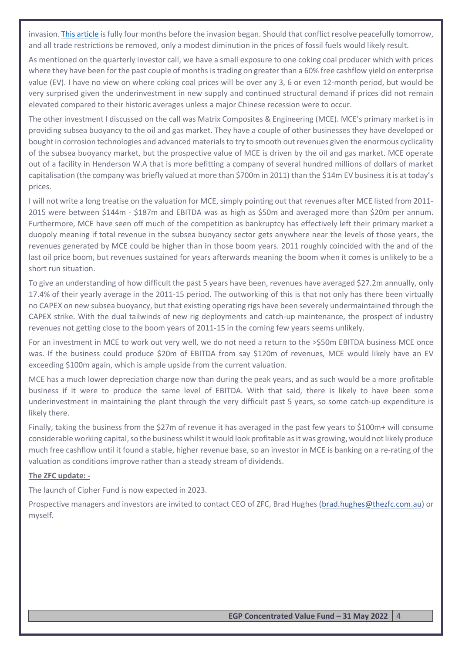invasion. [This article](https://www.reuters.com/business/energy/whats-behind-wild-surges-global-lng-prices-risks-ahead-2021-10-01/) is fully four months before the invasion began. Should that conflict resolve peacefully tomorrow, and all trade restrictions be removed, only a modest diminution in the prices of fossil fuels would likely result.

As mentioned on the quarterly investor call, we have a small exposure to one coking coal producer which with prices where they have been for the past couple of months is trading on greater than a 60% free cashflow yield on enterprise value (EV). I have no view on where coking coal prices will be over any 3, 6 or even 12-month period, but would be very surprised given the underinvestment in new supply and continued structural demand if prices did not remain elevated compared to their historic averages unless a major Chinese recession were to occur.

The other investment I discussed on the call was Matrix Composites & Engineering (MCE). MCE's primary market is in providing subsea buoyancy to the oil and gas market. They have a couple of other businesses they have developed or bought in corrosion technologies and advanced materials to try to smooth out revenues given the enormous cyclicality of the subsea buoyancy market, but the prospective value of MCE is driven by the oil and gas market. MCE operate out of a facility in Henderson W.A that is more befitting a company of several hundred millions of dollars of market capitalisation (the company was briefly valued at more than \$700m in 2011) than the \$14m EV business it is at today's prices.

I will not write a long treatise on the valuation for MCE, simply pointing out that revenues after MCE listed from 2011- 2015 were between \$144m - \$187m and EBITDA was as high as \$50m and averaged more than \$20m per annum. Furthermore, MCE have seen off much of the competition as bankruptcy has effectively left their primary market a duopoly meaning if total revenue in the subsea buoyancy sector gets anywhere near the levels of those years, the revenues generated by MCE could be higher than in those boom years. 2011 roughly coincided with the and of the last oil price boom, but revenues sustained for years afterwards meaning the boom when it comes is unlikely to be a short run situation.

To give an understanding of how difficult the past 5 years have been, revenues have averaged \$27.2m annually, only 17.4% of their yearly average in the 2011-15 period. The outworking of this is that not only has there been virtually no CAPEX on new subsea buoyancy, but that existing operating rigs have been severely undermaintained through the CAPEX strike. With the dual tailwinds of new rig deployments and catch-up maintenance, the prospect of industry revenues not getting close to the boom years of 2011-15 in the coming few years seems unlikely.

For an investment in MCE to work out very well, we do not need a return to the >\$50m EBITDA business MCE once was. If the business could produce \$20m of EBITDA from say \$120m of revenues, MCE would likely have an EV exceeding \$100m again, which is ample upside from the current valuation.

MCE has a much lower depreciation charge now than during the peak years, and as such would be a more profitable business if it were to produce the same level of EBITDA. With that said, there is likely to have been some underinvestment in maintaining the plant through the very difficult past 5 years, so some catch-up expenditure is likely there.

Finally, taking the business from the \$27m of revenue it has averaged in the past few years to \$100m+ will consume considerable working capital, so the business whilst it would look profitable as it was growing, would not likely produce much free cashflow until it found a stable, higher revenue base, so an investor in MCE is banking on a re-rating of the valuation as conditions improve rather than a steady stream of dividends.

# **The ZFC update: -**

The launch of Cipher Fund is now expected in 2023.

Prospective managers and investors are invited to contact CEO of ZFC, Brad Hughes [\(brad.hughes@thezfc.com.au\)](mailto:brad.hughes@thezfc.com.au) or myself.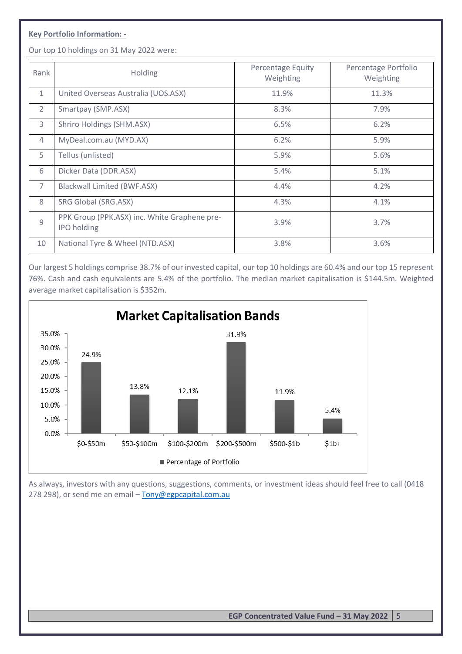# **Key Portfolio Information: -**

Our top 10 holdings on 31 May 2022 were:

| Rank           | <b>Holding</b>                                                     | Percentage Equity<br>Weighting | Percentage Portfolio<br>Weighting |
|----------------|--------------------------------------------------------------------|--------------------------------|-----------------------------------|
| $\mathbf{1}$   | United Overseas Australia (UOS.ASX)                                | 11.9%                          | 11.3%                             |
| $\overline{2}$ | Smartpay (SMP.ASX)                                                 | 8.3%                           | 7.9%                              |
| 3              | Shriro Holdings (SHM.ASX)                                          | 6.5%                           | 6.2%                              |
| $\overline{4}$ | MyDeal.com.au (MYD.AX)                                             | 6.2%                           | 5.9%                              |
| 5              | Tellus (unlisted)                                                  | 5.9%                           | 5.6%                              |
| 6              | Dicker Data (DDR.ASX)                                              | 5.4%                           | 5.1%                              |
| $\overline{7}$ | <b>Blackwall Limited (BWF.ASX)</b>                                 | 4.4%                           | 4.2%                              |
| 8              | SRG Global (SRG.ASX)                                               | 4.3%                           | 4.1%                              |
| $\overline{9}$ | PPK Group (PPK.ASX) inc. White Graphene pre-<br><b>IPO</b> holding | 3.9%                           | 3.7%                              |
| 10             | National Tyre & Wheel (NTD.ASX)                                    | 3.8%                           | 3.6%                              |

Our largest 5 holdings comprise 38.7% of our invested capital, our top 10 holdings are 60.4% and our top 15 represent 76%. Cash and cash equivalents are 5.4% of the portfolio. The median market capitalisation is \$144.5m. Weighted average market capitalisation is \$352m.



As always, investors with any questions, suggestions, comments, or investment ideas should feel free to call (0418 278 298), or send me an email - [Tony@egpcapital.com.au](mailto:Tony@egpcapital.com.au)